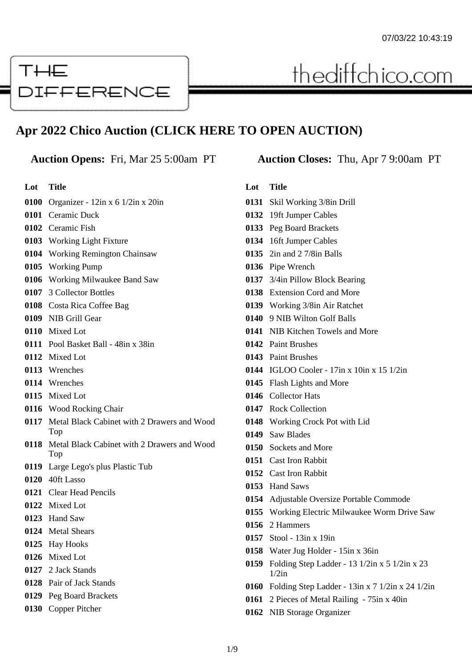# THE **DIFFERENCE**

# **Apr 2022 Chico Auction (CLICK HERE TO OPEN AUCTION)**

**Lot Title**

- Organizer 12in x 6 1/2in x 20in
- Ceramic Duck
- Ceramic Fish
- Working Light Fixture
- Working Remington Chainsaw
- Working Pump
- Working Milwaukee Band Saw
- 3 Collector Bottles
- Costa Rica Coffee Bag
- NIB Grill Gear
- Mixed Lot
- Pool Basket Ball 48in x 38in
- Mixed Lot
- Wrenches
- Wrenches
- Mixed Lot
- Wood Rocking Chair
- Metal Black Cabinet with 2 Drawers and Wood Top
- Metal Black Cabinet with 2 Drawers and Wood Top
- Large Lego's plus Plastic Tub
- 40ft Lasso
- Clear Head Pencils
- Mixed Lot
- Hand Saw
- Metal Shears
- Hay Hooks
- Mixed Lot
- 2 Jack Stands
- Pair of Jack Stands
- Peg Board Brackets
- Copper Pitcher

# **Auction Opens:** Fri, Mar 25 5:00am PT **Auction Closes:** Thu, Apr 7 9:00am PT

thediffchico.com

- Skil Working 3/8in Drill
- 19ft Jumper Cables
- Peg Board Brackets
- 16ft Jumper Cables
- 2in and 2 7/8in Balls
- Pipe Wrench
- 3/4in Pillow Block Bearing
- Extension Cord and More
- Working 3/8in Air Ratchet
- 9 NIB Wilton Golf Balls
- NIB Kitchen Towels and More
- Paint Brushes
- Paint Brushes
- IGLOO Cooler 17in x 10in x 15 1/2in
- Flash Lights and More
- Collector Hats
- Rock Collection
- Working Crock Pot with Lid
- Saw Blades
- Sockets and More
- Cast Iron Rabbit
- Cast Iron Rabbit
- Hand Saws
- Adjustable Oversize Portable Commode
- Working Electric Milwaukee Worm Drive Saw
- 2 Hammers
- Stool 13in x 19in
- Water Jug Holder 15in x 36in
- Folding Step Ladder 13 1/2in x 5 1/2in x 23 1/2in
- Folding Step Ladder 13in x 7 1/2in x 24 1/2in
- 2 Pieces of Metal Railing 75in x 40in
- NIB Storage Organizer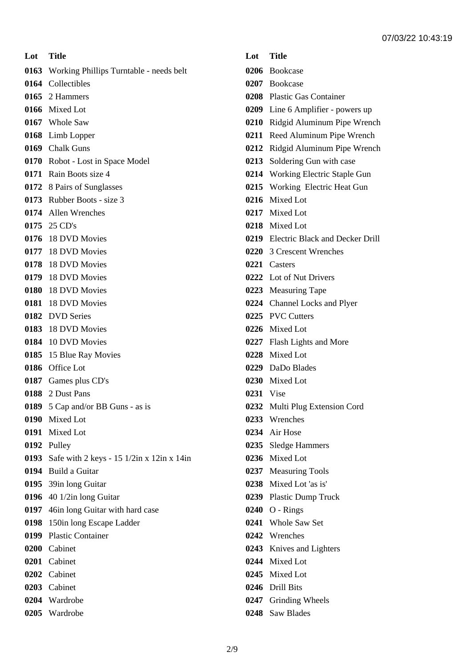**Lot Title** Working Phillips Turntable - needs belt Collectibles 2 Hammers Mixed Lot Whole Saw Limb Lopper Chalk Guns Robot - Lost in Space Model Rain Boots size 4 8 Pairs of Sunglasses Rubber Boots - size 3 Allen Wrenches 25 CD's 18 DVD Movies 18 DVD Movies 18 DVD Movies 18 DVD Movies 18 DVD Movies 18 DVD Movies DVD Series 18 DVD Movies 10 DVD Movies 15 Blue Ray Movies Office Lot Games plus CD's 2 Dust Pans 5 Cap and/or BB Guns - as is Mixed Lot Mixed Lot Pulley Safe with 2 keys - 15 1/2in x 12in x 14in Build a Guitar 39in long Guitar 40 1/2in long Guitar 46in long Guitar with hard case 150in long Escape Ladder Plastic Container Cabinet Cabinet Cabinet Cabinet Wardrobe

Wardrobe

- Bookcase
- Bookcase
- Plastic Gas Container
- Line 6 Amplifier powers up
- Ridgid Aluminum Pipe Wrench
- Reed Aluminum Pipe Wrench
- Ridgid Aluminum Pipe Wrench
- Soldering Gun with case
- Working Electric Staple Gun
- Working Electric Heat Gun
- Mixed Lot
- Mixed Lot
- Mixed Lot
- Electric Black and Decker Drill
- 3 Crescent Wrenches
- Casters
- Lot of Nut Drivers
- Measuring Tape
- Channel Locks and Plyer
- PVC Cutters
- Mixed Lot
- Flash Lights and More
- Mixed Lot
- DaDo Blades
- Mixed Lot
- Vise
- Multi Plug Extension Cord
- Wrenches
- Air Hose
- Sledge Hammers
- Mixed Lot
- Measuring Tools
- Mixed Lot 'as is'
- Plastic Dump Truck
- O Rings
- Whole Saw Set
- Wrenches
- Knives and Lighters
- Mixed Lot
- Mixed Lot
- Drill Bits
- Grinding Wheels
- Saw Blades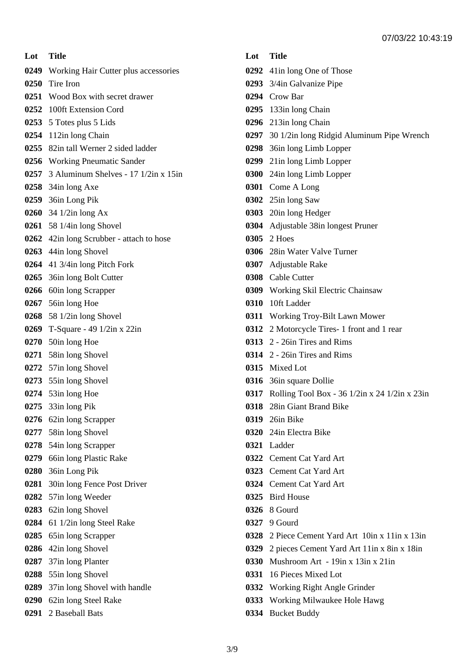**Lot Title** Working Hair Cutter plus accessories Tire Iron Wood Box with secret drawer 100ft Extension Cord 5 Totes plus 5 Lids 112in long Chain 82in tall Werner 2 sided ladder Working Pneumatic Sander 3 Aluminum Shelves - 17 1/2in x 15in 34in long Axe 36in Long Pik 34 1/2in long Ax 58 1/4in long Shovel 42in long Scrubber - attach to hose 44in long Shovel 41 3/4in long Pitch Fork 36in long Bolt Cutter 60in long Scrapper 56in long Hoe 58 1/2in long Shovel T-Square - 49 1/2in x 22in 50in long Hoe 58in long Shovel 57in long Shovel 55in long Shovel 53in long Hoe 33in long Pik 62in long Scrapper 58in long Shovel 54in long Scrapper 66in long Plastic Rake 36in Long Pik 30in long Fence Post Driver 57in long Weeder 62in long Shovel 61 1/2in long Steel Rake 65in long Scrapper 42in long Shovel 37in long Planter 55in long Shovel 37in long Shovel with handle 62in long Steel Rake 2 Baseball Bats

# **Lot Title** 41in long One of Those 3/4in Galvanize Pipe Crow Bar 133in long Chain 213in long Chain 30 1/2in long Ridgid Aluminum Pipe Wrench 36in long Limb Lopper 21in long Limb Lopper 24in long Limb Lopper Come A Long 25in long Saw 20in long Hedger Adjustable 38in longest Pruner 2 Hoes 28in Water Valve Turner Adjustable Rake Cable Cutter Working Skil Electric Chainsaw 10ft Ladder Working Troy-Bilt Lawn Mower 2 Motorcycle Tires- 1 front and 1 rear 2 - 26in Tires and Rims 2 - 26in Tires and Rims Mixed Lot 36in square Dollie Rolling Tool Box - 36 1/2in x 24 1/2in x 23in 28in Giant Brand Bike 26in Bike 24in Electra Bike Ladder Cement Cat Yard Art Cement Cat Yard Art Cement Cat Yard Art Bird House 8 Gourd 9 Gourd 2 Piece Cement Yard Art 10in x 11in x 13in 2 pieces Cement Yard Art 11in x 8in x 18in Mushroom Art - 19in x 13in x 21in 16 Pieces Mixed Lot Working Right Angle Grinder Working Milwaukee Hole Hawg Bucket Buddy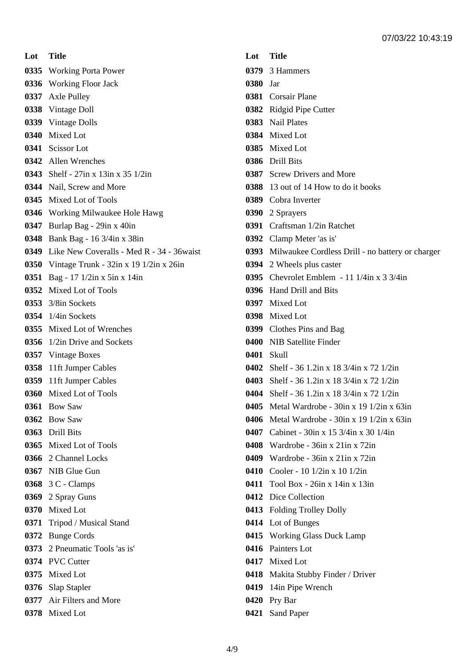**Lot Title** Working Porta Power Working Floor Jack Axle Pulley Vintage Doll Vintage Dolls Mixed Lot Scissor Lot Allen Wrenches Shelf - 27in x 13in x 35 1/2in Nail, Screw and More Mixed Lot of Tools Working Milwaukee Hole Hawg Burlap Bag - 29in x 40in Bank Bag - 16 3/4in x 38in Like New Coveralls - Med R - 34 - 36waist Vintage Trunk - 32in x 19 1/2in x 26in Bag - 17 1/2in x 5in x 14in Mixed Lot of Tools 3/8in Sockets 1/4in Sockets Mixed Lot of Wrenches 1/2in Drive and Sockets Vintage Boxes 11ft Jumper Cables 11ft Jumper Cables Mixed Lot of Tools Bow Saw Bow Saw Drill Bits Mixed Lot of Tools 2 Channel Locks NIB Glue Gun 3 C - Clamps 2 Spray Guns Mixed Lot Tripod / Musical Stand Bunge Cords 2 Pneumatic Tools 'as is' PVC Cutter Mixed Lot Slap Stapler Air Filters and More Mixed Lot

| Lot      | Title                                                   |
|----------|---------------------------------------------------------|
|          | 0379 3 Hammers                                          |
| 0380 Jar |                                                         |
|          | 0381 Corsair Plane                                      |
|          | 0382 Ridgid Pipe Cutter                                 |
|          | 0383 Nail Plates                                        |
|          | 0384 Mixed Lot                                          |
|          | 0385 Mixed Lot                                          |
|          | 0386 Drill Bits                                         |
|          | 0387 Screw Drivers and More                             |
|          | <b>0388</b> 13 out of 14 How to do it books             |
|          | 0389 Cobra Inverter                                     |
|          | 0390 2 Sprayers                                         |
|          | 0391 Craftsman 1/2in Ratchet                            |
|          | 0392 Clamp Meter 'as is'                                |
|          | 0393 Milwaukee Cordless Drill - no battery or charger   |
|          | 0394 2 Wheels plus caster                               |
|          | <b>0395</b> Chevrolet Emblem - 11 $1/4$ in x 3 $3/4$ in |
|          | 0396 Hand Drill and Bits                                |
|          | 0397 Mixed Lot                                          |
|          | 0398 Mixed Lot                                          |
|          | 0399 Clothes Pins and Bag                               |
|          | 0400 NIB Satellite Finder                               |
|          | 0401 Skull                                              |
|          | <b>0402</b> Shelf - 36 1.2in x 18 3/4in x 72 1/2in      |
|          | 0403 Shelf - 36 1.2in x 18 3/4in x 72 1/2in             |
|          | <b>0404</b> Shelf - 36 1.2in x 18 3/4in x 72 1/2in      |
| 0405     | Metal Wardrobe - 30in x 19 1/2in x 63in                 |
|          | 0406 Metal Wardrobe - $30in x 191/2in x 63in$           |
|          | <b>0407</b> Cabinet - 30in x 15 3/4in x 30 1/4in        |
|          | 0408 Wardrobe - $36in x$ 21 $in x$ 72 $in$              |
|          | 0409 Wardrobe - $36in x$ 21 $in x$ 72 $in$              |
|          | 0410 Cooler - 10 1/2in x 10 1/2in                       |
|          | 0411 Tool Box - 26in x 14in x 13in                      |
|          | 0412 Dice Collection                                    |
| 0413     | <b>Folding Trolley Dolly</b>                            |
|          | 0414 Lot of Bunges                                      |
|          | 0415 Working Glass Duck Lamp                            |
|          | 0416 Painters Lot                                       |
|          | 0417 Mixed Lot                                          |
|          | 0418 Makita Stubby Finder / Driver                      |
|          | 0419 14in Pipe Wrench                                   |
|          | 0420 Pry Bar                                            |
|          | 0421 Sand Paper                                         |
|          |                                                         |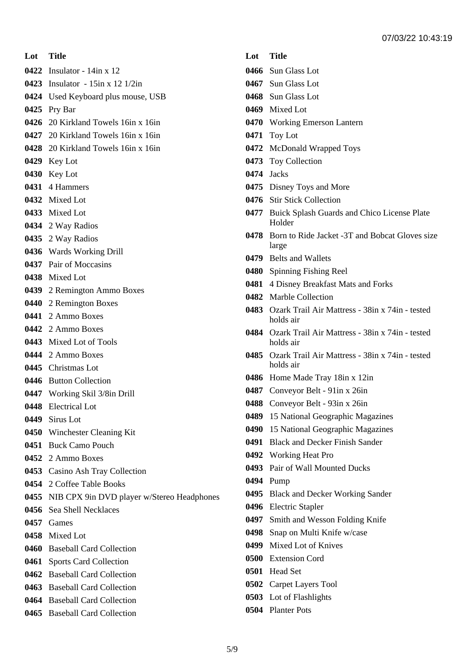**Lot Title** Insulator - 14in x 12 Insulator - 15in x 12 1/2in Used Keyboard plus mouse, USB Pry Bar 20 Kirkland Towels 16in x 16in 20 Kirkland Towels 16in x 16in 20 Kirkland Towels 16in x 16in Key Lot Key Lot 4 Hammers Mixed Lot Mixed Lot 2 Way Radios 2 Way Radios Wards Working Drill Pair of Moccasins Mixed Lot 2 Remington Ammo Boxes 2 Remington Boxes 2 Ammo Boxes 2 Ammo Boxes Mixed Lot of Tools 2 Ammo Boxes Christmas Lot Button Collection Working Skil 3/8in Drill Electrical Lot Sirus Lot Winchester Cleaning Kit Buck Camo Pouch 2 Ammo Boxes Casino Ash Tray Collection 2 Coffee Table Books NIB CPX 9in DVD player w/Stereo Headphones Sea Shell Necklaces Games Mixed Lot Baseball Card Collection Sports Card Collection Baseball Card Collection Baseball Card Collection Baseball Card Collection Baseball Card Collection

- Sun Glass Lot
- Sun Glass Lot
- Sun Glass Lot
- Mixed Lot
- Working Emerson Lantern
- Toy Lot
- McDonald Wrapped Toys
- Toy Collection
- Jacks
- Disney Toys and More
- Stir Stick Collection
- Buick Splash Guards and Chico License Plate Holder
- Born to Ride Jacket -3T and Bobcat Gloves size large
- Belts and Wallets
- Spinning Fishing Reel
- 4 Disney Breakfast Mats and Forks
- Marble Collection
- Ozark Trail Air Mattress 38in x 74in tested holds air
- Ozark Trail Air Mattress 38in x 74in tested holds air
- Ozark Trail Air Mattress 38in x 74in tested holds air
- Home Made Tray 18in x 12in
- Conveyor Belt 91in x 26in
- Conveyor Belt 93in x 26in
- 15 National Geographic Magazines
- 15 National Geographic Magazines
- Black and Decker Finish Sander
- Working Heat Pro
- Pair of Wall Mounted Ducks
- Pump
- Black and Decker Working Sander
- Electric Stapler
- Smith and Wesson Folding Knife
- Snap on Multi Knife w/case
- Mixed Lot of Knives
- Extension Cord
- Head Set
- Carpet Layers Tool
- Lot of Flashlights
- Planter Pots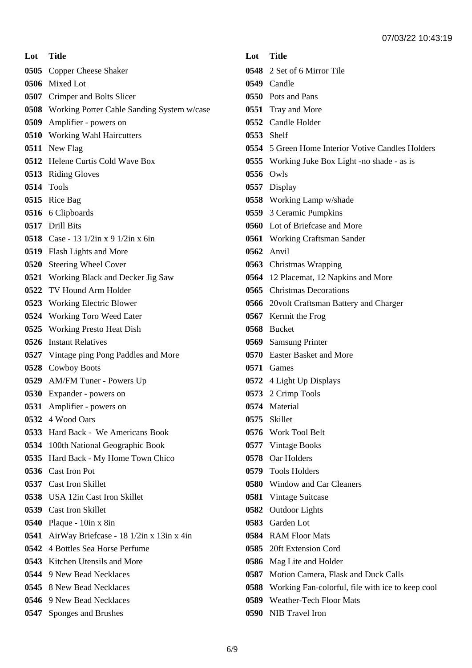**Lot Title** Copper Cheese Shaker Mixed Lot Crimper and Bolts Slicer Working Porter Cable Sanding System w/case Amplifier - powers on Working Wahl Haircutters New Flag Helene Curtis Cold Wave Box Riding Gloves Tools Rice Bag 6 Clipboards Drill Bits Case - 13 1/2in x 9 1/2in x 6in Flash Lights and More Steering Wheel Cover Working Black and Decker Jig Saw TV Hound Arm Holder Working Electric Blower Working Toro Weed Eater Working Presto Heat Dish Instant Relatives Vintage ping Pong Paddles and More Cowboy Boots AM/FM Tuner - Powers Up Expander - powers on Amplifier - powers on 4 Wood Oars Hard Back - We Americans Book 100th National Geographic Book Hard Back - My Home Town Chico Cast Iron Pot Cast Iron Skillet USA 12in Cast Iron Skillet Cast Iron Skillet Plaque - 10in x 8in AirWay Briefcase - 18 1/2in x 13in x 4in 4 Bottles Sea Horse Perfume Kitchen Utensils and More 9 New Bead Necklaces 8 New Bead Necklaces 9 New Bead Necklaces

Sponges and Brushes

| Lot Title |                                                       |
|-----------|-------------------------------------------------------|
|           | 0548 2 Set of 6 Mirror Tile                           |
|           | 0549 Candle                                           |
|           | 0550 Pots and Pans                                    |
|           | 0551 Tray and More                                    |
|           | 0552 Candle Holder                                    |
|           | 0553 Shelf                                            |
|           | 0554 5 Green Home Interior Votive Candles Holders     |
|           | 0555 Working Juke Box Light -no shade - as is         |
|           | 0556 Owls                                             |
|           | 0557 Display                                          |
|           | <b>0558</b> Working Lamp w/shade                      |
|           | 0559 3 Ceramic Pumpkins                               |
|           | 0560 Lot of Briefcase and More                        |
|           | 0561 Working Craftsman Sander                         |
|           | 0562 Anvil                                            |
|           | 0563 Christmas Wrapping                               |
|           | 0564 12 Placemat, 12 Napkins and More                 |
|           | 0565 Christmas Decorations                            |
|           | 0566 20volt Craftsman Battery and Charger             |
|           | 0567 Kermit the Frog                                  |
|           | 0568 Bucket                                           |
|           | 0569 Samsung Printer                                  |
|           | 0570 Easter Basket and More                           |
|           | 0571 Games                                            |
|           | <b>0572</b> 4 Light Up Displays                       |
|           | 0573 2 Crimp Tools                                    |
| 0574      | Material                                              |
|           | 0575 Skillet                                          |
|           | 0576 Work Tool Belt                                   |
|           | 0577 Vintage Books                                    |
|           | 0578 Oar Holders                                      |
|           | 0579 Tools Holders                                    |
|           | 0580 Window and Car Cleaners                          |
|           | 0581 Vintage Suitcase                                 |
|           | 0582 Outdoor Lights                                   |
|           | 0583 Garden Lot                                       |
|           | 0584 RAM Floor Mats                                   |
|           | 0585 20ft Extension Cord                              |
|           | 0586 Mag Lite and Holder                              |
|           | 0587 Motion Camera, Flask and Duck Calls              |
|           | 0588 Working Fan-colorful, file with ice to keep cool |
|           | 0589 Weather-Tech Floor Mats                          |
|           | 0590 NIB Travel Iron                                  |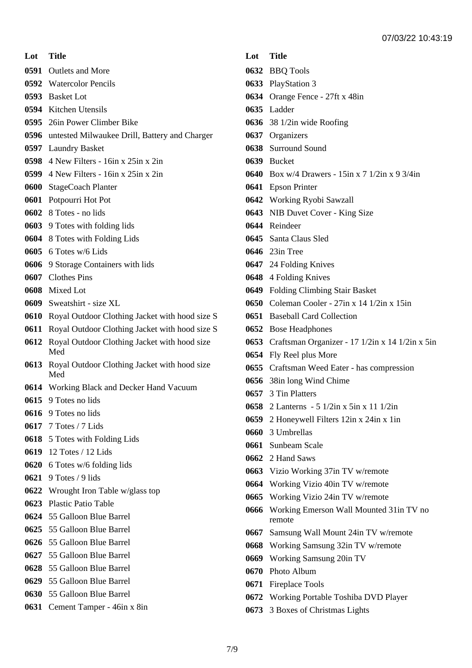**Lot Title** Outlets and More Watercolor Pencils Basket Lot Kitchen Utensils 26in Power Climber Bike

- 
- untested Milwaukee Drill, Battery and Charger
- Laundry Basket
- 4 New Filters 16in x 25in x 2in
- 4 New Filters 16in x 25in x 2in
- StageCoach Planter
- Potpourri Hot Pot
- 8 Totes no lids
- 9 Totes with folding lids
- 8 Totes with Folding Lids
- 6 Totes w/6 Lids
- 9 Storage Containers with lids
- Clothes Pins
- Mixed Lot
- Sweatshirt size XL
- Royal Outdoor Clothing Jacket with hood size S
- Royal Outdoor Clothing Jacket with hood size S
- Royal Outdoor Clothing Jacket with hood size Med
- Royal Outdoor Clothing Jacket with hood size Med
- Working Black and Decker Hand Vacuum
- 9 Totes no lids
- 9 Totes no lids
- 7 Totes / 7 Lids
- 5 Totes with Folding Lids
- 12 Totes / 12 Lids
- 6 Totes w/6 folding lids
- 9 Totes / 9 lids
- Wrought Iron Table w/glass top
- Plastic Patio Table
- 55 Galloon Blue Barrel
- 55 Galloon Blue Barrel
- 55 Galloon Blue Barrel
- 55 Galloon Blue Barrel
- 55 Galloon Blue Barrel
- 55 Galloon Blue Barrel
- 55 Galloon Blue Barrel
- Cement Tamper 46in x 8in

- BBQ Tools
- PlayStation 3
- Orange Fence 27ft x 48in
- Ladder
- 38 1/2in wide Roofing
- Organizers
- Surround Sound
- Bucket
- Box w/4 Drawers 15in x 7 1/2in x 9 3/4in
- Epson Printer
- Working Ryobi Sawzall
- NIB Duvet Cover King Size
- Reindeer
- Santa Claus Sled
- 23in Tree
- 24 Folding Knives
- 4 Folding Knives
- Folding Climbing Stair Basket
- Coleman Cooler 27in x 14 1/2in x 15in
- Baseball Card Collection
- Bose Headphones
- Craftsman Organizer 17 1/2in x 14 1/2in x 5in
- Fly Reel plus More
- Craftsman Weed Eater has compression
- 38in long Wind Chime
- 3 Tin Platters
- 2 Lanterns 5 1/2in x 5in x 11 1/2in
- 2 Honeywell Filters 12in x 24in x 1in
- 3 Umbrellas
- Sunbeam Scale
- 2 Hand Saws
- Vizio Working 37in TV w/remote
- Working Vizio 40in TV w/remote
- Working Vizio 24in TV w/remote
- Working Emerson Wall Mounted 31in TV no remote
- Samsung Wall Mount 24in TV w/remote
- Working Samsung 32in TV w/remote
- Working Samsung 20in TV
- Photo Album
- Fireplace Tools
- Working Portable Toshiba DVD Player
- 3 Boxes of Christmas Lights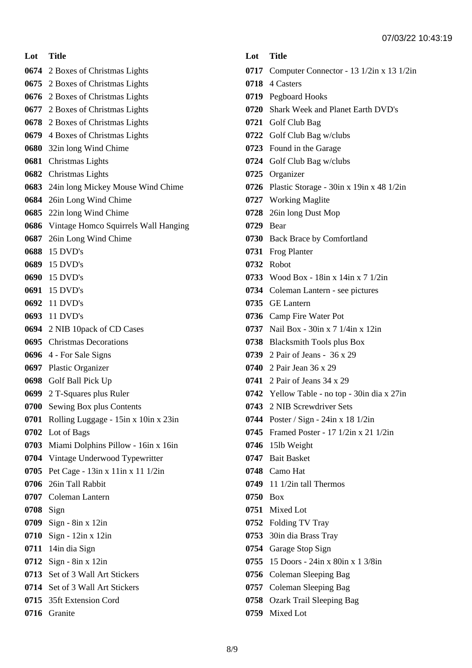#### **Lot Title**

- 2 Boxes of Christmas Lights
- 2 Boxes of Christmas Lights
- 2 Boxes of Christmas Lights
- 2 Boxes of Christmas Lights
- 2 Boxes of Christmas Lights
- 4 Boxes of Christmas Lights
- 32in long Wind Chime
- Christmas Lights
- Christmas Lights
- 24in long Mickey Mouse Wind Chime
- 26in Long Wind Chime
- 22in long Wind Chime
- Vintage Homco Squirrels Wall Hanging
- 26in Long Wind Chime
- 15 DVD's
- 15 DVD's
- 15 DVD's
- 15 DVD's
- 11 DVD's
- 11 DVD's
- 2 NIB 10pack of CD Cases
- Christmas Decorations
- 4 For Sale Signs
- Plastic Organizer
- Golf Ball Pick Up
- 2 T-Squares plus Ruler
- Sewing Box plus Contents
- Rolling Luggage 15in x 10in x 23in
- Lot of Bags
- Miami Dolphins Pillow 16in x 16in
- Vintage Underwood Typewritter
- Pet Cage 13in x 11in x 11 1/2in
- 26in Tall Rabbit
- Coleman Lantern
- Sign
- Sign 8in x 12in
- Sign 12in x 12in
- 14in dia Sign
- Sign 8in x 12in
- Set of 3 Wall Art Stickers
- Set of 3 Wall Art Stickers
- 35ft Extension Cord
- Granite

- Computer Connector 13 1/2in x 13 1/2in
- 4 Casters
- Pegboard Hooks
- Shark Week and Planet Earth DVD's
- Golf Club Bag
- Golf Club Bag w/clubs
- Found in the Garage
- Golf Club Bag w/clubs
- Organizer
- Plastic Storage 30in x 19in x 48 1/2in
- Working Maglite
- 26in long Dust Mop
- Bear
- Back Brace by Comfortland
- Frog Planter
- Robot
- Wood Box 18in x 14in x 7 1/2in
- Coleman Lantern see pictures
- GE Lantern
- Camp Fire Water Pot
- Nail Box 30in x 7 1/4in x 12in
- Blacksmith Tools plus Box
- 2 Pair of Jeans 36 x 29
- 2 Pair Jean 36 x 29
- 2 Pair of Jeans 34 x 29
- Yellow Table no top 30in dia x 27in
- 2 NIB Screwdriver Sets
- Poster / Sign 24in x 18 1/2in
- Framed Poster 17 1/2in x 21 1/2in
- 15lb Weight
- Bait Basket
- Camo Hat
- 11 1/2in tall Thermos
- Box
- Mixed Lot
- Folding TV Tray
- 30in dia Brass Tray
- Garage Stop Sign
- 15 Doors 24in x 80in x 1 3/8in
- Coleman Sleeping Bag
- Coleman Sleeping Bag
- Ozark Trail Sleeping Bag
- Mixed Lot